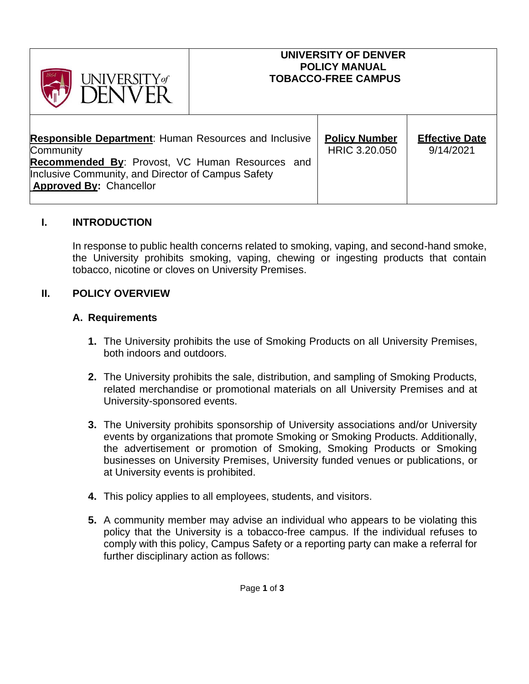| UNIVERSITY of<br><b>JFNIVER</b>                                                                                                                                                                                      | <b>UNIVERSITY OF DENVER</b><br><b>POLICY MANUAL</b><br><b>TOBACCO-FREE CAMPUS</b> |                                       |                                    |
|----------------------------------------------------------------------------------------------------------------------------------------------------------------------------------------------------------------------|-----------------------------------------------------------------------------------|---------------------------------------|------------------------------------|
| <b>Responsible Department: Human Resources and Inclusive</b><br>Community<br>Recommended By: Provost, VC Human Resources and<br>Inclusive Community, and Director of Campus Safety<br><b>Approved By: Chancellor</b> |                                                                                   | <b>Policy Number</b><br>HRIC 3.20.050 | <b>Effective Date</b><br>9/14/2021 |

### **I. INTRODUCTION**

In response to public health concerns related to smoking, vaping, and second-hand smoke, the University prohibits smoking, vaping, chewing or ingesting products that contain tobacco, nicotine or cloves on University Premises.

### **II. POLICY OVERVIEW**

#### **A. Requirements**

- **1.** The University prohibits the use of Smoking Products on all University Premises, both indoors and outdoors.
- **2.** The University prohibits the sale, distribution, and sampling of Smoking Products, related merchandise or promotional materials on all University Premises and at University-sponsored events.
- **3.** The University prohibits sponsorship of University associations and/or University events by organizations that promote Smoking or Smoking Products. Additionally, the advertisement or promotion of Smoking, Smoking Products or Smoking businesses on University Premises, University funded venues or publications, or at University events is prohibited.
- **4.** This policy applies to all employees, students, and visitors.
- **5.** A community member may advise an individual who appears to be violating this policy that the University is a tobacco-free campus. If the individual refuses to comply with this policy, Campus Safety or a reporting party can make a referral for further disciplinary action as follows: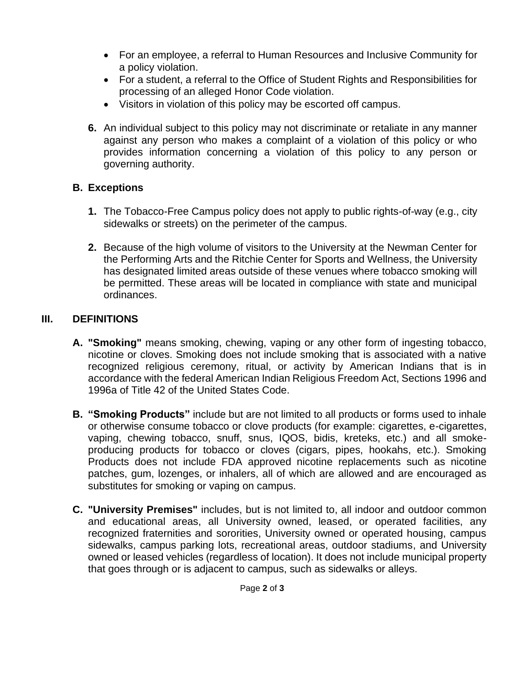- For an employee, a referral to Human Resources and Inclusive Community for a policy violation.
- For a student, a referral to the Office of Student Rights and Responsibilities for processing of an alleged Honor Code violation.
- Visitors in violation of this policy may be escorted off campus.
- **6.** An individual subject to this policy may not discriminate or retaliate in any manner against any person who makes a complaint of a violation of this policy or who provides information concerning a violation of this policy to any person or governing authority.

# **B. Exceptions**

- **1.** The Tobacco-Free Campus policy does not apply to public rights-of-way (e.g., city sidewalks or streets) on the perimeter of the campus.
- **2.** Because of the high volume of visitors to the University at the Newman Center for the Performing Arts and the Ritchie Center for Sports and Wellness, the University has designated limited areas outside of these venues where tobacco smoking will be permitted. These areas will be located in compliance with state and municipal ordinances.

# **III. DEFINITIONS**

- **A. "Smoking"** means smoking, chewing, vaping or any other form of ingesting tobacco, nicotine or cloves. Smoking does not include smoking that is associated with a native recognized religious ceremony, ritual, or activity by American Indians that is in accordance with the federal American Indian Religious Freedom Act, Sections 1996 and 1996a of Title 42 of the United States Code.
- **B. "Smoking Products"** include but are not limited to all products or forms used to inhale or otherwise consume tobacco or clove products (for example: cigarettes, e-cigarettes, vaping, chewing tobacco, snuff, snus, IQOS, bidis, kreteks, etc.) and all smokeproducing products for tobacco or cloves (cigars, pipes, hookahs, etc.). Smoking Products does not include FDA approved nicotine replacements such as nicotine patches, gum, lozenges, or inhalers, all of which are allowed and are encouraged as substitutes for smoking or vaping on campus.
- **C. "University Premises"** includes, but is not limited to, all indoor and outdoor common and educational areas, all University owned, leased, or operated facilities, any recognized fraternities and sororities, University owned or operated housing, campus sidewalks, campus parking lots, recreational areas, outdoor stadiums, and University owned or leased vehicles (regardless of location). It does not include municipal property that goes through or is adjacent to campus, such as sidewalks or alleys.